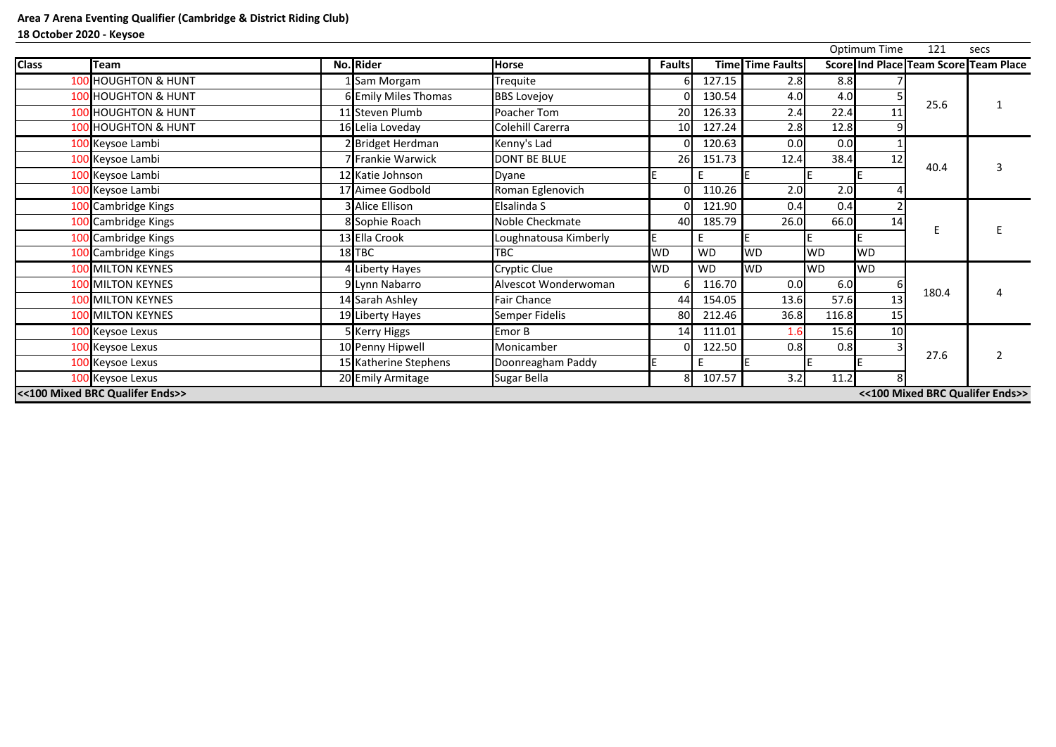|              |                                 |          |                        |                       |                 |           |                         |           | <b>Optimum Time</b> | 121   | secs                                         |
|--------------|---------------------------------|----------|------------------------|-----------------------|-----------------|-----------|-------------------------|-----------|---------------------|-------|----------------------------------------------|
| <b>Class</b> | <b>Team</b>                     |          | No. Rider              | <b>Horse</b>          | <b>Faults</b>   |           | <b>Time Time Faults</b> |           |                     |       | <b>Score Ind Place Team Score Team Place</b> |
|              | <b>100 HOUGHTON &amp; HUNT</b>  |          | LSam Morgam            | Trequite              | 6.              | 127.15    | 2.8                     | 8.8       |                     |       |                                              |
|              | <b>100 HOUGHTON &amp; HUNT</b>  |          | 6 Emily Miles Thomas   | <b>BBS Lovejoy</b>    |                 | 130.54    | 4.0                     | 4.0       |                     |       |                                              |
|              | 100 HOUGHTON & HUNT             |          | 11 Steven Plumb        | Poacher Tom           | 20              | 126.33    | 2.4                     | 22.4      | 11                  | 25.6  |                                              |
|              | 100 HOUGHTON & HUNT             |          | 16 Lelia Loveday       | Colehill Carerra      | 10 <sup>1</sup> | 127.24    | 2.8                     | 12.8      |                     |       |                                              |
|              | 100 Keysoe Lambi                |          | 2 Bridget Herdman      | Kenny's Lad           |                 | 120.63    | 0.0                     | 0.0       |                     |       |                                              |
|              | 100 Keysoe Lambi                |          | 7 Frankie Warwick      | <b>DONT BE BLUE</b>   | 26              | 151.73    | 12.4                    | 38.4      | 12                  |       |                                              |
|              | 100 Keysoe Lambi                |          | 12 Katie Johnson       | Dyane                 |                 |           |                         |           |                     | 40.4  |                                              |
|              | 100 Keysoe Lambi                |          | 17 Aimee Godbold       | Roman Eglenovich      |                 | 110.26    | 2.0                     | 2.0       |                     |       |                                              |
|              | 100 Cambridge Kings             |          | <b>3</b> Alice Ellison | Elsalinda S           |                 | 121.90    | 0.4                     | 0.4       |                     |       |                                              |
|              | 100 Cambridge Kings             |          | 8 Sophie Roach         | Noble Checkmate       | 40              | 185.79    | 26.0                    | 66.0      | 14                  |       |                                              |
|              | 100 Cambridge Kings             |          | 13 Ella Crook          | Loughnatousa Kimberly |                 |           |                         |           |                     |       |                                              |
|              | 100 Cambridge Kings             | $18$ TBC |                        | <b>TBC</b>            | <b>WD</b>       | <b>WD</b> | <b>WD</b>               | <b>WD</b> | <b>WD</b>           |       |                                              |
|              | <b>100 MILTON KEYNES</b>        |          | 4 Liberty Hayes        | <b>Cryptic Clue</b>   | <b>WD</b>       | <b>WD</b> | <b>WD</b>               | <b>WD</b> | <b>WD</b>           |       |                                              |
|              | <b>100 MILTON KEYNES</b>        |          | 9 Lynn Nabarro         | Alvescot Wonderwoman  |                 | 116.70    | 0.0                     | 6.0       |                     |       |                                              |
|              | <b>100 MILTON KEYNES</b>        |          | 14 Sarah Ashley        | <b>Fair Chance</b>    | 44              | 154.05    | 13.6                    | 57.6      | 13                  | 180.4 |                                              |
|              | <b>100 MILTON KEYNES</b>        |          | 19 Liberty Hayes       | Semper Fidelis        | 80              | 212.46    | 36.8                    | 116.8     | 15                  |       |                                              |
|              | 100 Keysoe Lexus                |          | 5 Kerry Higgs          | Emor B                | 14              | 111.01    | 1.6                     | 15.6      | 10                  |       |                                              |
|              | 100 Keysoe Lexus                |          | 10 Penny Hipwell       | Monicamber            |                 | 122.50    | 0.8                     | 0.8       |                     |       |                                              |
|              | 100 Keysoe Lexus                |          | 15 Katherine Stephens  | Doonreagham Paddy     |                 |           |                         |           |                     | 27.6  |                                              |
|              | 100 Keysoe Lexus                |          | 20 Emily Armitage      | Sugar Bella           | 81              | 107.57    | 3.2                     | 11.2      |                     |       |                                              |
|              | <<100 Mixed BRC Qualifer Ends>> |          |                        |                       |                 |           |                         |           |                     |       | <<100 Mixed BRC Qualifer Ends>>              |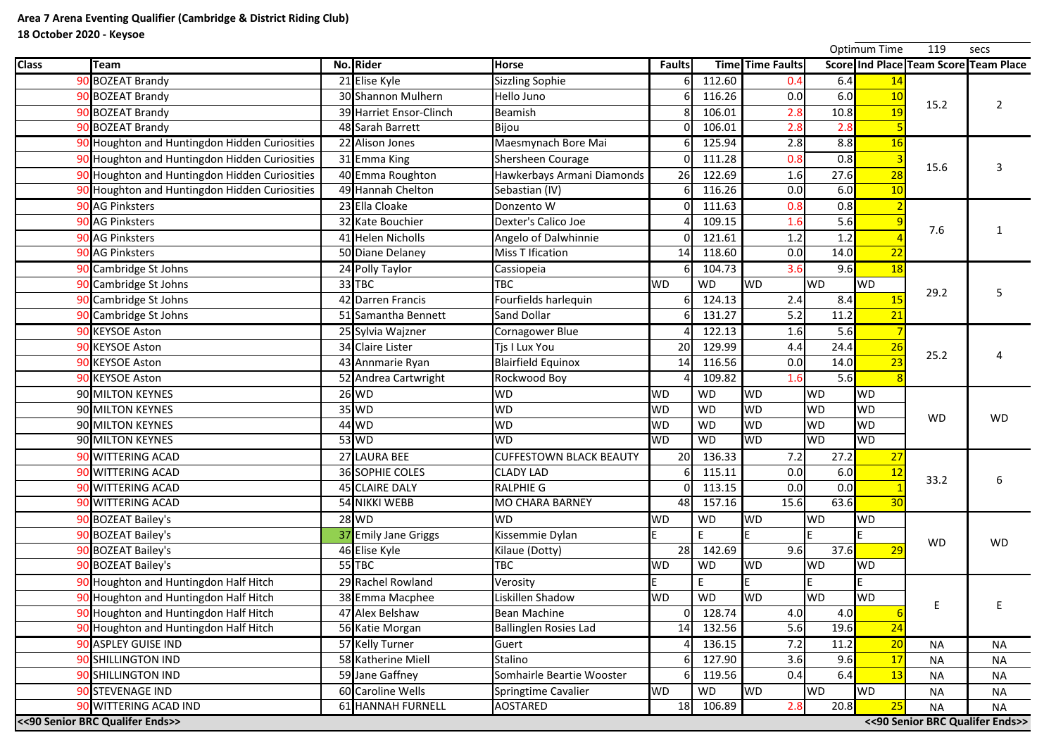|              |                                               |                         |                                |               |           |                         |            | Optimum Time | 119       | secs                                  |
|--------------|-----------------------------------------------|-------------------------|--------------------------------|---------------|-----------|-------------------------|------------|--------------|-----------|---------------------------------------|
| <b>Class</b> | Team                                          | No. Rider               | <b>Horse</b>                   | <b>Faults</b> |           | <b>Time Time Faults</b> |            |              |           | Score Ind Place Team Score Team Place |
|              | 90 BOZEAT Brandy                              | 21 Elise Kyle           | <b>Sizzling Sophie</b>         |               | 112.60    | 0.4                     | 6.4        | <u>14</u>    |           |                                       |
|              | 90 BOZEAT Brandy                              | 30 Shannon Mulhern      | Hello Juno                     |               | 116.26    | 0.0                     | 6.0        | 10           | 15.2      |                                       |
|              | 90 BOZEAT Brandy                              | 39 Harriet Ensor-Clinch | Beamish                        |               | 106.01    | 2.8                     | 10.8       | 19           |           |                                       |
|              | 90 BOZEAT Brandy                              | 48 Sarah Barrett        | Bijou                          |               | 106.01    | 2.8                     | 2.8        |              |           |                                       |
|              | 90 Houghton and Huntingdon Hidden Curiosities | 22 Alison Jones         | Maesmynach Bore Mai            |               | 125.94    | 2.8                     | 8.8        | <b>16</b>    |           |                                       |
|              | 90 Houghton and Huntingdon Hidden Curiosities | 31 Emma King            | Shersheen Courage              |               | 111.28    | 0.8                     | 0.8        |              |           |                                       |
|              | 90 Houghton and Huntingdon Hidden Curiosities | 40 Emma Roughton        | Hawkerbays Armani Diamonds     | 26            | 122.69    | 1.6                     | 27.6       | 28           | 15.6      |                                       |
|              | 90 Houghton and Huntingdon Hidden Curiosities | 49 Hannah Chelton       | Sebastian (IV)                 |               | 116.26    | 0.0                     | 6.0        | 10           |           |                                       |
|              | 90 AG Pinksters                               | 23 Ella Cloake          | Donzento W                     |               | 111.63    | 0.8                     | 0.8        |              |           |                                       |
|              | 90 AG Pinksters                               | 32 Kate Bouchier        | Dexter's Calico Joe            |               | 109.15    | 1.6                     | 5.6        |              |           |                                       |
|              | 90 AG Pinksters                               | 41 Helen Nicholls       | Angelo of Dalwhinnie           |               | 121.61    | 1.2                     | 1.2        |              | 7.6       |                                       |
|              | 90 AG Pinksters                               | 50 Diane Delaney        | <b>Miss T Ification</b>        | 14            | 118.60    | 0.0                     | 14.0       | 22           |           |                                       |
|              | 90 Cambridge St Johns                         | 24 Polly Taylor         | Cassiopeia                     |               | 104.73    | 3.6                     | 9.6        | 18           |           |                                       |
|              | 90 Cambridge St Johns                         | 33 TBC                  | <b>TBC</b>                     | <b>WD</b>     | <b>WD</b> | <b>WD</b>               | <b>WD</b>  | <b>WD</b>    |           |                                       |
|              | 90 Cambridge St Johns                         | 42 Darren Francis       | Fourfields harlequin           |               | 124.13    | 2.4                     | 8.4        |              | 29.2      |                                       |
|              | 90 Cambridge St Johns                         | 51 Samantha Bennett     | <b>Sand Dollar</b>             |               | 131.27    | 5.2                     | 11.2       | 21           |           |                                       |
|              | 90 KEYSOE Aston                               | 25 Sylvia Wajzner       | Cornagower Blue                |               | 122.13    | 1.6                     | 5.6        |              |           |                                       |
|              | 90 KEYSOE Aston                               | 34 Claire Lister        | Tjs I Lux You                  | 20            | 129.99    | 4.4                     | 24.4       | 26           |           |                                       |
|              | 90 KEYSOE Aston                               | 43 Annmarie Ryan        | <b>Blairfield Equinox</b>      | 14            | 116.56    | 0.0                     | 14.0       |              | 25.2      |                                       |
|              | 90 KEYSOE Aston                               | 52 Andrea Cartwright    | Rockwood Boy                   |               | 109.82    | 1.6                     | 5.6        |              |           |                                       |
|              | 90 MILTON KEYNES                              | $26$ WD                 | <b>WD</b>                      | <b>WD</b>     | <b>WD</b> | <b>WD</b>               | <b>WD</b>  | <b>WD</b>    |           |                                       |
|              | 90 MILTON KEYNES                              | $35$ WD                 | <b>WD</b>                      | <b>WD</b>     | <b>WD</b> | <b>WD</b>               | <b>WD</b>  | <b>WD</b>    | <b>WD</b> | <b>WD</b>                             |
|              | 90 MILTON KEYNES                              | $44$ WD                 | <b>WD</b>                      | <b>WD</b>     | <b>WD</b> | <b>WD</b>               | <b>WD</b>  | <b>WD</b>    |           |                                       |
|              | 90 MILTON KEYNES                              | 53 WD                   | <b>WD</b>                      | IWD.          | WD        | <b>IWD</b>              | <b>IWD</b> | <b>IWD</b>   |           |                                       |
|              | 90 WITTERING ACAD                             | 27 LAURA BEE            | <b>CUFFESTOWN BLACK BEAUTY</b> | <b>20</b>     | 136.33    | 7.2                     | 27.2       | 27           |           |                                       |
|              | 90 WITTERING ACAD                             | <b>36 SOPHIE COLES</b>  | <b>CLADY LAD</b>               |               | 115.11    | 0.0                     | 6.0        | 12           | 33.2      |                                       |
|              | 90 WITTERING ACAD                             | 45 CLAIRE DALY          | <b>RALPHIE G</b>               |               | 113.15    | 0.0                     | 0.0        |              |           | 6                                     |
|              | 90 WITTERING ACAD                             | 54 NIKKI WEBB           | <b>MO CHARA BARNEY</b>         | 48            | 157.16    | 15.6                    | 63.6       | 30           |           |                                       |
|              | 90 BOZEAT Bailey's                            | $28$ WD                 | <b>WD</b>                      | <b>WD</b>     | <b>WD</b> | <b>WD</b>               | <b>WD</b>  | <b>WD</b>    |           |                                       |
|              | 90 BOZEAT Bailey's                            | 37 Emily Jane Griggs    | Kissemmie Dylan                |               | E         |                         |            |              | <b>WD</b> | <b>WD</b>                             |
|              | 90 BOZEAT Bailey's                            | 46 Elise Kyle           | Kilaue (Dotty)                 | 28            | 142.69    | 9.6                     | 37.6       |              |           |                                       |
|              | 90 BOZEAT Bailey's                            | $55$ TBC                | <b>TBC</b>                     | <b>WD</b>     | <b>WD</b> | <b>WD</b>               | <b>WD</b>  | <b>WD</b>    |           |                                       |
|              | 90 Houghton and Huntingdon Half Hitch         | 29 Rachel Rowland       | Verosity                       |               | E         |                         |            |              |           |                                       |
|              | 90 Houghton and Huntingdon Half Hitch         | 38 Emma Macphee         | Liskillen Shadow               | <b>WD</b>     | <b>WD</b> | <b>WD</b>               | <b>WD</b>  | <b>WD</b>    |           |                                       |
|              | 90 Houghton and Huntingdon Half Hitch         | 47 Alex Belshaw         | <b>Bean Machine</b>            |               | 128.74    | 4.0                     | 4.0        |              |           |                                       |
|              | 90 Houghton and Huntingdon Half Hitch         | 56 Katie Morgan         | <b>Ballinglen Rosies Lad</b>   | 14            | 132.56    | 5.6                     | 19.6       | 24           |           |                                       |
|              | 90 ASPLEY GUISE IND                           | 57 Kelly Turner         | Guert                          |               | 136.15    | 7.2                     | 11.2       | 20           | <b>NA</b> | <b>NA</b>                             |
|              | 90 SHILLINGTON IND                            | 58 Katherine Miell      | Stalino                        |               | 127.90    | 3.6                     | 9.6        | 17           | <b>NA</b> | <b>NA</b>                             |
|              | 90 SHILLINGTON IND                            | 59 Jane Gaffney         | Somhairle Beartie Wooster      |               | 119.56    | 0.4                     | 6.4        | 13           | <b>NA</b> | <b>NA</b>                             |
|              | 90 STEVENAGE IND                              | 60 Caroline Wells       | Springtime Cavalier            | <b>WD</b>     | <b>WD</b> | <b>WD</b>               | <b>WD</b>  | <b>WD</b>    | <b>NA</b> | <b>NA</b>                             |
|              | 90 WITTERING ACAD IND                         | 61 HANNAH FURNELL       | AOSTARED                       | 18            | 106.89    | 2.8                     | 20.8       | 25           | <b>NA</b> | <b>NA</b>                             |
|              | << 90 Senior BRC Qualifer Ends>>              |                         |                                |               |           |                         |            |              |           | << 90 Senior BRC Qualifer Ends>>      |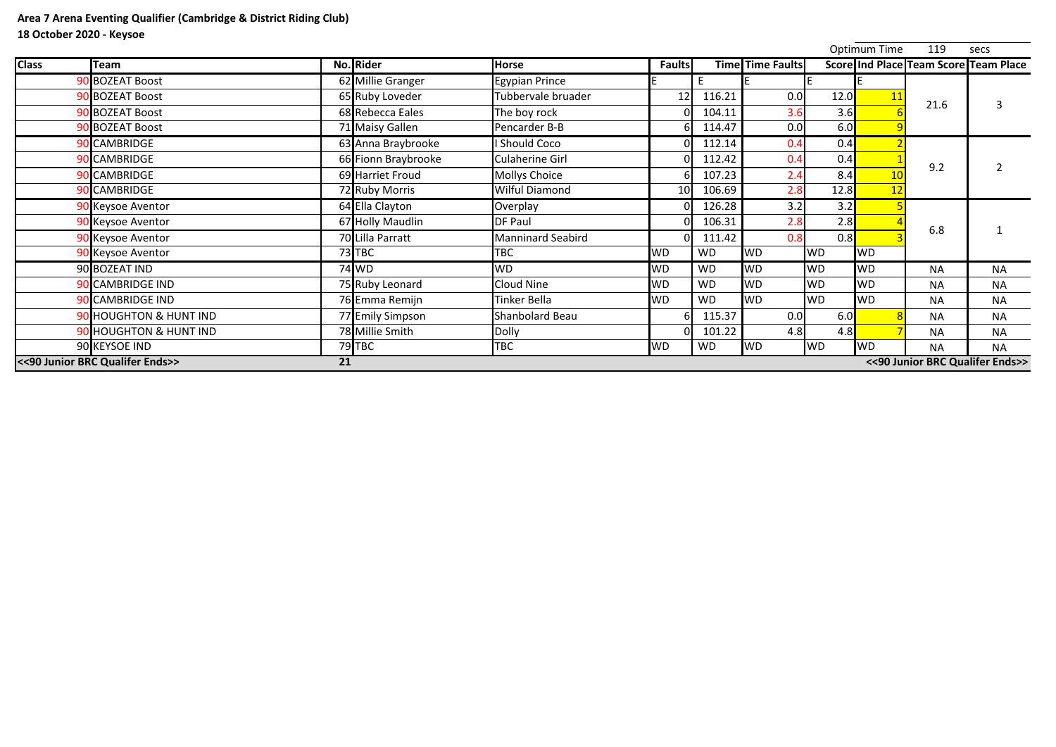|              |                                  |                     |                          |                 |           |                         |           | Optimum Time | 119       | secs                                  |
|--------------|----------------------------------|---------------------|--------------------------|-----------------|-----------|-------------------------|-----------|--------------|-----------|---------------------------------------|
| <b>Class</b> | <b>Team</b>                      | No. Rider           | <b>Horse</b>             | <b>Faults</b>   |           | <b>Time Time Faults</b> |           |              |           | Score Ind Place Team Score Team Place |
|              | 90 BOZEAT Boost                  | 62 Millie Granger   | <b>Egypian Prince</b>    |                 | E         |                         |           |              |           |                                       |
|              | 90 BOZEAT Boost                  | 65 Ruby Loveder     | Tubbervale bruader       | 12              | 116.21    | 0.0                     | 12.0      | 11           |           |                                       |
|              | 90 BOZEAT Boost                  | 68 Rebecca Eales    | The boy rock             |                 | 104.11    | 3.6                     | 3.6       |              | 21.6      |                                       |
|              | 90 BOZEAT Boost                  | 71 Maisy Gallen     | Pencarder B-B            |                 | 114.47    | 0.0                     | 6.0       |              |           |                                       |
|              | 90 CAMBRIDGE                     | 63 Anna Braybrooke  | <b>Should Coco</b>       |                 | 112.14    | 0.4                     | 0.4       |              |           |                                       |
|              | 90 CAMBRIDGE                     | 66 Fionn Braybrooke | <b>Culaherine Girl</b>   |                 | 112.42    | 0.4                     | 0.4       |              | 9.2       |                                       |
|              | 90 CAMBRIDGE                     | 69 Harriet Froud    | <b>Mollys Choice</b>     |                 | 107.23    | 2.4                     | 8.4       |              |           |                                       |
|              | 90 CAMBRIDGE                     | 72 Ruby Morris      | <b>Wilful Diamond</b>    | 10 <sup>1</sup> | 106.69    | 2.8                     | 12.8      | 12           |           |                                       |
|              | 90 Keysoe Aventor                | 64 Ella Clayton     | Overplay                 |                 | 126.28    | 3.2                     | 3.2       |              |           |                                       |
|              | 90 Keysoe Aventor                | 67 Holly Maudlin    | <b>DF Paul</b>           |                 | 106.31    | 2.8                     | 2.8       |              | 6.8       |                                       |
|              | 90 Keysoe Aventor                | 70 Lilla Parratt    | <b>Manninard Seabird</b> |                 | 111.42    | 0.8                     | 0.8       |              |           |                                       |
|              | 90 Keysoe Aventor                | $73$ TBC            | <b>TBC</b>               | <b>WD</b>       | <b>WD</b> | <b>WD</b>               | <b>WD</b> | <b>WD</b>    |           |                                       |
|              | 90 BOZEAT IND                    | 74 WD               | <b>WD</b>                | <b>WD</b>       | <b>WD</b> | <b>WD</b>               | <b>WD</b> | <b>WD</b>    | <b>NA</b> | <b>NA</b>                             |
|              | 90 CAMBRIDGE IND                 | 75 Ruby Leonard     | Cloud Nine               | <b>WD</b>       | <b>WD</b> | <b>WD</b>               | <b>WD</b> | <b>IWD</b>   | <b>NA</b> | <b>NA</b>                             |
|              | 90 CAMBRIDGE IND                 | 76 Emma Remijn      | Tinker Bella             | <b>WD</b>       | <b>WD</b> | <b>WD</b>               | <b>WD</b> | <b>WD</b>    | <b>NA</b> | <b>NA</b>                             |
|              | 90 HOUGHTON & HUNT IND           | 77 Emily Simpson    | <b>Shanbolard Beau</b>   |                 | 115.37    | 0.0                     | 6.0       |              | <b>NA</b> | <b>NA</b>                             |
|              | 90 HOUGHTON & HUNT IND           | 78 Millie Smith     | <b>Dolly</b>             |                 | 101.22    | 4.8                     | 4.8       |              | <b>NA</b> | <b>NA</b>                             |
|              | 90 KEYSOE IND                    | $79$ TBC            | <b>TBC</b>               | <b>WD</b>       | <b>WD</b> | <b>WD</b>               | <b>WD</b> | <b>WD</b>    | <b>NA</b> | <b>NA</b>                             |
|              | << 90 Junior BRC Qualifer Ends>> | 21                  |                          |                 |           |                         |           |              |           | << 90 Junior BRC Qualifer Ends        |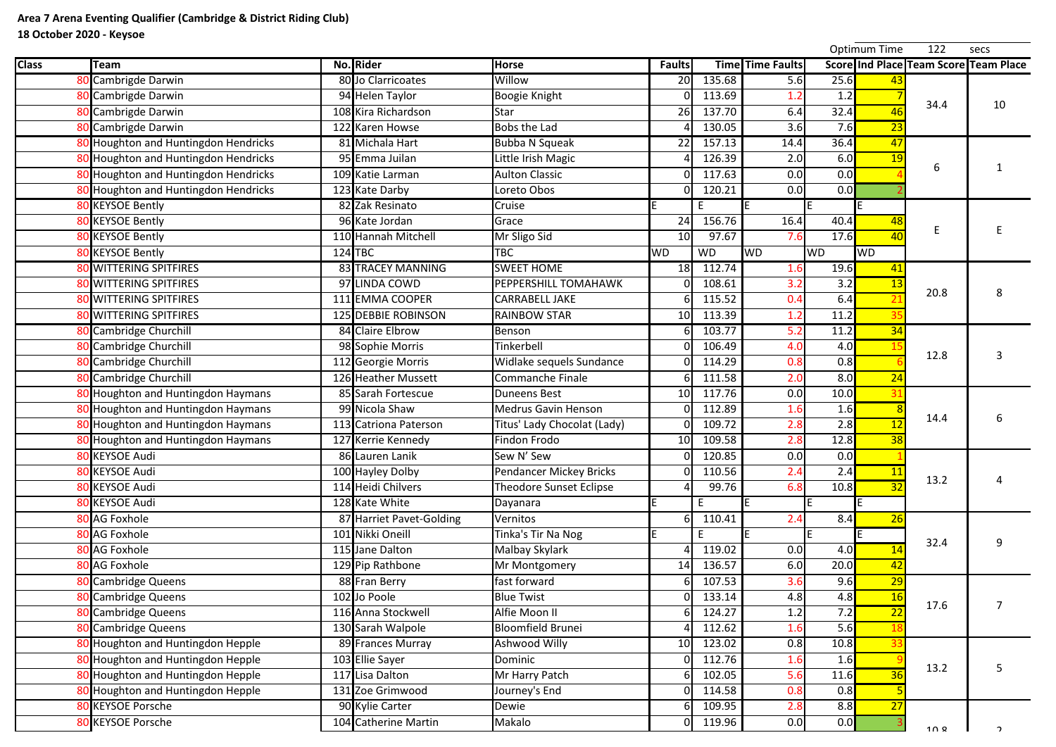|              |                                       |                            |                             |                 |           |                         |           | Optimum Time | 122             | secs                                         |
|--------------|---------------------------------------|----------------------------|-----------------------------|-----------------|-----------|-------------------------|-----------|--------------|-----------------|----------------------------------------------|
| <b>Class</b> | Team                                  | No. Rider                  | <b>Horse</b>                | <b>Faults</b>   |           | <b>Time Time Faults</b> |           |              |                 | <b>Score Ind Place Team Score Team Place</b> |
|              | <b>Cambrigde Darwin</b>               | 80 Jo Clarricoates         | Willow                      | 20              | 135.68    | 5.6                     | 25.6      |              |                 |                                              |
|              | Cambrigde Darwin                      | 94 Helen Taylor            | <b>Boogie Knight</b>        |                 | 113.69    | 1.2                     | 1.2       |              | 34.4            |                                              |
|              | 80 Cambrigde Darwin                   | 108 Kira Richardson        | <b>Star</b>                 | 26              | 137.70    | 6.4                     | 32.4      | 46           |                 | 10                                           |
|              | 80 Cambrigde Darwin                   | 122 Karen Howse            | <b>Bobs the Lad</b>         |                 | 130.05    | 3.6                     | 7.6       | 23           |                 |                                              |
|              | 80 Houghton and Huntingdon Hendricks  | 81 Michala Hart            | <b>Bubba N Squeak</b>       | 22              | 157.13    | 14.4                    | 36.4      | 47           |                 |                                              |
|              | Houghton and Huntingdon Hendricks     | 95 Emma Juilan             | Little Irish Magic          |                 | 126.39    | 2.0                     | 6.0       | 19           |                 |                                              |
|              | 80 Houghton and Huntingdon Hendricks  | 109 Katie Larman           | <b>Aulton Classic</b>       |                 | 117.63    | 0.0                     | 0.0       |              | 6               |                                              |
|              | 80 Houghton and Huntingdon Hendricks  | 123 Kate Darby             | Loreto Obos                 |                 | 120.21    | 0.0                     | 0.0       |              |                 |                                              |
|              | 80 KEYSOE Bently                      | 82 Zak Resinato            | Cruise                      |                 | E.        |                         |           |              |                 |                                              |
|              | 80 KEYSOE Bently                      | 96 Kate Jordan             | Grace                       | 24              | 156.76    | 16.4                    | 40.4      | 48           |                 |                                              |
|              | 80 KEYSOE Bently                      | 110 Hannah Mitchell        | Mr Sligo Sid                | 10 <sup>1</sup> | 97.67     | 7.6                     | 17.6      |              |                 |                                              |
|              | 80 KEYSOE Bently                      | $124$ TBC                  | <b>TBC</b>                  | <b>WD</b>       | <b>WD</b> | <b>WD</b>               | <b>WD</b> | <b>WD</b>    |                 |                                              |
|              | <b>80 WITTERING SPITFIRES</b>         | <b>83 TRACEY MANNING</b>   | <b>SWEET HOME</b>           | 18              | 112.74    | 1.6                     | 19.6      | -41          |                 |                                              |
|              | 80 WITTERING SPITFIRES                | 97 LINDA COWD              | PEPPERSHILL TOMAHAWK        |                 | 108.61    | 3.2                     | 3.2       | 13           |                 |                                              |
|              | <b>80 WITTERING SPITFIRES</b>         | 111 EMMA COOPER            | <b>CARRABELL JAKE</b>       |                 | 115.52    | 0.4                     | 6.4       |              | 20.8            | 8                                            |
|              | 80 WITTERING SPITFIRES                | <b>125 DEBBIE ROBINSON</b> | <b>RAINBOW STAR</b>         | 10              | 113.39    | 1.2                     | 11.2      |              |                 |                                              |
|              | 80 Cambridge Churchill                | 84 Claire Elbrow           | Benson                      |                 | 103.77    | 5.2                     | 11.2      | 34           |                 |                                              |
|              | <b>Cambridge Churchill</b>            | 98 Sophie Morris           | Tinkerbell                  |                 | 106.49    | 4.0                     | 4.0       |              |                 |                                              |
|              | 80 Cambridge Churchill                | 112 Georgie Morris         | Widlake sequels Sundance    |                 | 114.29    | 0.8                     | 0.8       |              | 12.8            |                                              |
|              | 80 Cambridge Churchill                | 126 Heather Mussett        | <b>Commanche Finale</b>     |                 | 111.58    | 2.0                     | 8.0       | 24           |                 |                                              |
|              | 80 Houghton and Huntingdon Haymans    | 85 Sarah Fortescue         | <b>Duneens Best</b>         | 10 <sup>1</sup> | 117.76    | 0.0                     | 10.0      |              |                 |                                              |
|              | 80 Houghton and Huntingdon Haymans    | 99 Nicola Shaw             | <b>Medrus Gavin Henson</b>  |                 | 112.89    | 1.6                     | 1.6       |              |                 |                                              |
|              | Houghton and Huntingdon Haymans       | 113 Catriona Paterson      | Titus' Lady Chocolat (Lady) |                 | 109.72    | 2.8                     | 2.8       | <u> 12</u>   | 14.4            |                                              |
|              | 80 Houghton and Huntingdon Haymans    | 127 Kerrie Kennedy         | Findon Frodo                | 10 <sup>1</sup> | 109.58    | 2.8                     | 12.8      |              |                 |                                              |
|              | 80 KEYSOE Audi                        | 86 Lauren Lanik            | Sew N' Sew                  |                 | 120.85    | 0.0                     | 0.0       |              |                 |                                              |
|              | 80 KEYSOE Audi                        | 100 Hayley Dolby           | Pendancer Mickey Bricks     |                 | 110.56    | 2.4                     | 2.4       | 11           |                 |                                              |
|              | 80 KEYSOE Audi                        | 114 Heidi Chilvers         | Theodore Sunset Eclipse     |                 | 99.76     | 6.8                     | 10.8      |              | 13.2            |                                              |
|              | 80 KEYSOE Audi                        | 128 Kate White             | Dayanara                    |                 | E         |                         |           |              |                 |                                              |
|              | 80 AG Foxhole                         | 87 Harriet Pavet-Golding   | Vernitos                    |                 | 110.41    | 2.4                     | 8.4       | <b>26</b>    |                 |                                              |
|              | 80 AG Foxhole                         | 101 Nikki Oneill           | Tinka's Tir Na Nog          |                 | E         |                         |           |              |                 |                                              |
|              | 80 AG Foxhole                         | 115 Jane Dalton            | Malbay Skylark              |                 | 119.02    | 0.0                     | 4.0       |              | 32.4            | 9                                            |
|              | 80 AG Foxhole                         | 129 Pip Rathbone           | Mr Montgomery               | 14              | 136.57    | 6.0                     | 20.0      |              |                 |                                              |
|              | 80 Cambridge Queens                   | 88 Fran Berry              | fast forward                |                 | 107.53    | 3.6                     | 9.6       | 29           |                 |                                              |
|              | 80 Cambridge Queens                   | 102 Jo Poole               | <b>Blue Twist</b>           |                 | 133.14    | 4.8                     | 4.8       | <b>16</b>    |                 |                                              |
|              | <b>Cambridge Queens</b>               | 116 Anna Stockwell         | Alfie Moon II               |                 | 124.27    | 1.2                     | 7.2       |              | 17.6            |                                              |
|              | Cambridge Queens                      | 130 Sarah Walpole          | <b>Bloomfield Brunei</b>    |                 | 112.62    | 1.6                     | 5.6       |              |                 |                                              |
|              | 80 Houghton and Huntingdon Hepple     | 89 Frances Murray          | Ashwood Willy               | 10 <sup>1</sup> | 123.02    | 0.8                     | 10.8      |              |                 |                                              |
|              | 80 Houghton and Huntingdon Hepple     | 103 Ellie Sayer            | Dominic                     |                 | 112.76    | 1.6                     | 1.6       |              |                 |                                              |
|              | <b>Houghton and Huntingdon Hepple</b> | 117 Lisa Dalton            | Mr Harry Patch              |                 | 102.05    | 5.6                     | 11.6      |              | 13.2            |                                              |
|              | <b>Houghton and Huntingdon Hepple</b> | 131 Zoe Grimwood           | Journey's End               |                 | 114.58    | 0.8                     | 0.8       |              |                 |                                              |
|              | 80 KEYSOE Porsche                     | 90 Kylie Carter            | Dewie                       |                 | 109.95    | 2.8                     | 8.8       | 27           |                 |                                              |
|              | 80 KEYSOE Porsche                     | 104 Catherine Martin       | Makalo                      |                 | 119.96    | 0.0                     | 0.0       |              | 10 <sub>9</sub> |                                              |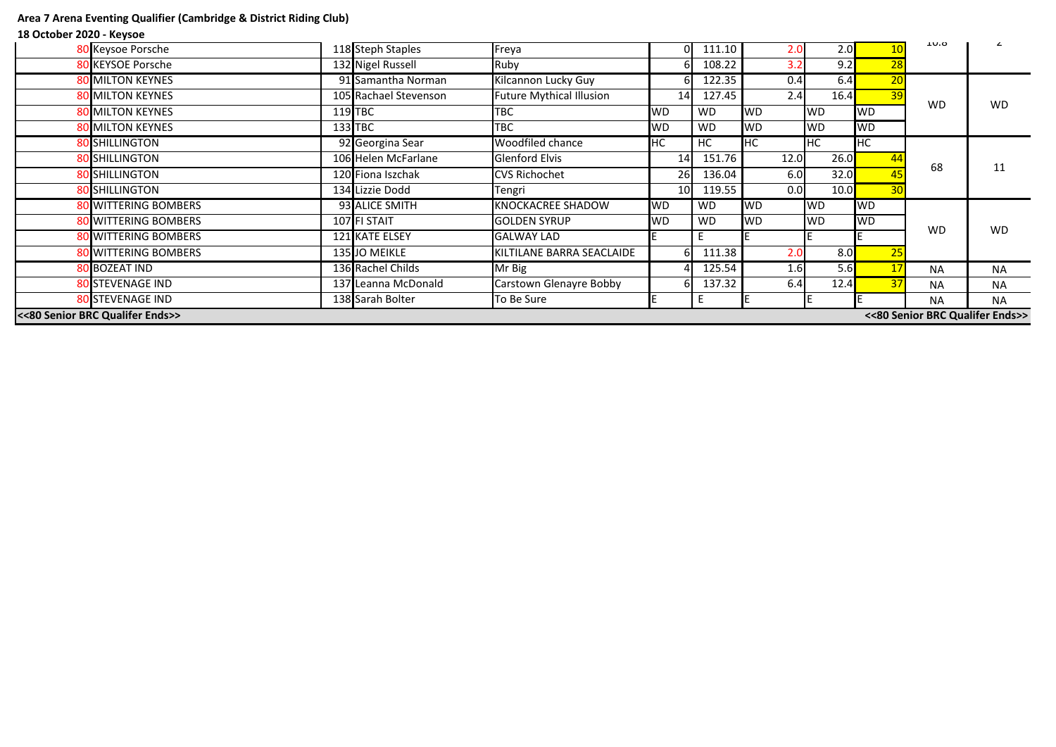# **Area 7 Arena Eventing Qualifier (Cambridge & District Riding Club)**

# **18 October 2020 - Keysoe**

| 132 Nigel Russell<br>9.2<br>Ruby<br>108.22<br>28<br>80 KEYSOE Porsche<br>3.2<br>91 Samantha Norman<br>0.4<br>20<br><b>80 MILTON KEYNES</b><br><b>Kilcannon Lucky Guy</b><br>122.35<br>6.4<br><b>Future Mythical Illusion</b><br>2.4<br><b>80 MILTON KEYNES</b><br>105 Rachael Stevenson<br>127.45<br>16.4<br>39<br>14<br><b>WD</b><br>$119$ TBC<br><b>TBC</b><br><b>WD</b><br><b>WD</b><br><b>80 MILTON KEYNES</b><br><b>WD</b><br><b>WD</b><br><b>WD</b><br>133 TBC<br><b>TBC</b><br><b>WD</b><br><b>WD</b><br><b>80 MILTON KEYNES</b><br><b>WD</b><br><b>WD</b><br><b>WD</b><br>92 Georgina Sear<br><b>Woodfiled chance</b><br><b>HC</b><br><b>80 SHILLINGTON</b><br>HС<br><b>HC</b><br>HC<br><b>I</b> HC<br><b>80 SHILLINGTON</b><br>106 Helen McFarlane<br><b>Glenford Elvis</b><br>151.76<br>26.0<br>12.0<br>14<br>68<br>80 SHILLINGTON<br>32.0<br>120 Fiona Iszchak<br><b>CVS Richochet</b><br>26<br>136.04<br>6.0<br><b>80 SHILLINGTON</b><br>134 Lizzie Dodd<br>0.0<br>30 <sup>°</sup><br>119.55<br>10.0<br>10 <sup>1</sup><br>Tengri<br>93 ALICE SMITH<br><b>KNOCKACREE SHADOW</b><br>80 WITTERING BOMBERS<br><b>WD</b><br><b>WD</b><br><b>WD</b><br><b>WD</b><br><b>WD</b><br>107 FI STAIT<br><b>WD</b><br><b>WD</b><br><b>WD</b><br><b>WD</b><br><b>80 WITTERING BOMBERS</b><br><b>WD</b><br><b>GOLDEN SYRUP</b><br><b>WD</b><br>121 KATE ELSEY<br><b>80 WITTERING BOMBERS</b><br><b>GALWAY LAD</b><br>135 JO MEIKLE<br>111.38<br>8.0<br><b>80 WITTERING BOMBERS</b><br>KILTILANE BARRA SEACLAIDE<br>2.0<br>25<br>136 Rachel Childs<br><b>80 BOZEAT IND</b><br>Mr Big<br>5.6<br>125.54<br>1.6<br><b>NA</b><br><b>Carstown Glenayre Bobby</b><br>137.32<br>6.4<br><b>80 STEVENAGE IND</b><br>137 Leanna McDonald<br>12.4<br>37<br><b>NA</b><br><b>80 STEVENAGE IND</b><br>138 Sarah Bolter<br>To Be Sure<br><b>NA</b> | <<80 Senior BRC Qualifer Ends>><br><<80 Senior BRC Qualifer Ends>> |                   |  |                   |       |  |        |     |     |  |  |           |
|---------------------------------------------------------------------------------------------------------------------------------------------------------------------------------------------------------------------------------------------------------------------------------------------------------------------------------------------------------------------------------------------------------------------------------------------------------------------------------------------------------------------------------------------------------------------------------------------------------------------------------------------------------------------------------------------------------------------------------------------------------------------------------------------------------------------------------------------------------------------------------------------------------------------------------------------------------------------------------------------------------------------------------------------------------------------------------------------------------------------------------------------------------------------------------------------------------------------------------------------------------------------------------------------------------------------------------------------------------------------------------------------------------------------------------------------------------------------------------------------------------------------------------------------------------------------------------------------------------------------------------------------------------------------------------------------------------------------------------------------------------------------------------------------------------------------------------|--------------------------------------------------------------------|-------------------|--|-------------------|-------|--|--------|-----|-----|--|--|-----------|
|                                                                                                                                                                                                                                                                                                                                                                                                                                                                                                                                                                                                                                                                                                                                                                                                                                                                                                                                                                                                                                                                                                                                                                                                                                                                                                                                                                                                                                                                                                                                                                                                                                                                                                                                                                                                                                 |                                                                    |                   |  |                   |       |  |        |     |     |  |  | <b>NA</b> |
|                                                                                                                                                                                                                                                                                                                                                                                                                                                                                                                                                                                                                                                                                                                                                                                                                                                                                                                                                                                                                                                                                                                                                                                                                                                                                                                                                                                                                                                                                                                                                                                                                                                                                                                                                                                                                                 |                                                                    |                   |  |                   |       |  |        |     |     |  |  | <b>NA</b> |
|                                                                                                                                                                                                                                                                                                                                                                                                                                                                                                                                                                                                                                                                                                                                                                                                                                                                                                                                                                                                                                                                                                                                                                                                                                                                                                                                                                                                                                                                                                                                                                                                                                                                                                                                                                                                                                 |                                                                    |                   |  |                   |       |  |        |     |     |  |  | <b>NA</b> |
|                                                                                                                                                                                                                                                                                                                                                                                                                                                                                                                                                                                                                                                                                                                                                                                                                                                                                                                                                                                                                                                                                                                                                                                                                                                                                                                                                                                                                                                                                                                                                                                                                                                                                                                                                                                                                                 |                                                                    |                   |  |                   |       |  |        |     |     |  |  |           |
|                                                                                                                                                                                                                                                                                                                                                                                                                                                                                                                                                                                                                                                                                                                                                                                                                                                                                                                                                                                                                                                                                                                                                                                                                                                                                                                                                                                                                                                                                                                                                                                                                                                                                                                                                                                                                                 |                                                                    |                   |  |                   |       |  |        |     |     |  |  | <b>WD</b> |
|                                                                                                                                                                                                                                                                                                                                                                                                                                                                                                                                                                                                                                                                                                                                                                                                                                                                                                                                                                                                                                                                                                                                                                                                                                                                                                                                                                                                                                                                                                                                                                                                                                                                                                                                                                                                                                 |                                                                    |                   |  |                   |       |  |        |     |     |  |  |           |
|                                                                                                                                                                                                                                                                                                                                                                                                                                                                                                                                                                                                                                                                                                                                                                                                                                                                                                                                                                                                                                                                                                                                                                                                                                                                                                                                                                                                                                                                                                                                                                                                                                                                                                                                                                                                                                 |                                                                    |                   |  |                   |       |  |        |     |     |  |  |           |
|                                                                                                                                                                                                                                                                                                                                                                                                                                                                                                                                                                                                                                                                                                                                                                                                                                                                                                                                                                                                                                                                                                                                                                                                                                                                                                                                                                                                                                                                                                                                                                                                                                                                                                                                                                                                                                 |                                                                    |                   |  |                   |       |  |        |     |     |  |  | 11        |
|                                                                                                                                                                                                                                                                                                                                                                                                                                                                                                                                                                                                                                                                                                                                                                                                                                                                                                                                                                                                                                                                                                                                                                                                                                                                                                                                                                                                                                                                                                                                                                                                                                                                                                                                                                                                                                 |                                                                    |                   |  |                   |       |  |        |     |     |  |  |           |
|                                                                                                                                                                                                                                                                                                                                                                                                                                                                                                                                                                                                                                                                                                                                                                                                                                                                                                                                                                                                                                                                                                                                                                                                                                                                                                                                                                                                                                                                                                                                                                                                                                                                                                                                                                                                                                 |                                                                    |                   |  |                   |       |  |        |     |     |  |  |           |
|                                                                                                                                                                                                                                                                                                                                                                                                                                                                                                                                                                                                                                                                                                                                                                                                                                                                                                                                                                                                                                                                                                                                                                                                                                                                                                                                                                                                                                                                                                                                                                                                                                                                                                                                                                                                                                 |                                                                    |                   |  |                   |       |  |        |     |     |  |  |           |
|                                                                                                                                                                                                                                                                                                                                                                                                                                                                                                                                                                                                                                                                                                                                                                                                                                                                                                                                                                                                                                                                                                                                                                                                                                                                                                                                                                                                                                                                                                                                                                                                                                                                                                                                                                                                                                 |                                                                    |                   |  |                   |       |  |        |     |     |  |  |           |
|                                                                                                                                                                                                                                                                                                                                                                                                                                                                                                                                                                                                                                                                                                                                                                                                                                                                                                                                                                                                                                                                                                                                                                                                                                                                                                                                                                                                                                                                                                                                                                                                                                                                                                                                                                                                                                 |                                                                    |                   |  |                   |       |  |        |     |     |  |  | <b>WD</b> |
|                                                                                                                                                                                                                                                                                                                                                                                                                                                                                                                                                                                                                                                                                                                                                                                                                                                                                                                                                                                                                                                                                                                                                                                                                                                                                                                                                                                                                                                                                                                                                                                                                                                                                                                                                                                                                                 |                                                                    |                   |  |                   |       |  |        |     |     |  |  |           |
|                                                                                                                                                                                                                                                                                                                                                                                                                                                                                                                                                                                                                                                                                                                                                                                                                                                                                                                                                                                                                                                                                                                                                                                                                                                                                                                                                                                                                                                                                                                                                                                                                                                                                                                                                                                                                                 |                                                                    |                   |  |                   |       |  |        |     |     |  |  |           |
|                                                                                                                                                                                                                                                                                                                                                                                                                                                                                                                                                                                                                                                                                                                                                                                                                                                                                                                                                                                                                                                                                                                                                                                                                                                                                                                                                                                                                                                                                                                                                                                                                                                                                                                                                                                                                                 |                                                                    |                   |  |                   |       |  |        |     |     |  |  |           |
| 10.0                                                                                                                                                                                                                                                                                                                                                                                                                                                                                                                                                                                                                                                                                                                                                                                                                                                                                                                                                                                                                                                                                                                                                                                                                                                                                                                                                                                                                                                                                                                                                                                                                                                                                                                                                                                                                            |                                                                    | 80 Keysoe Porsche |  | 118 Steph Staples | Freya |  | 111.10 | 2.0 | 2.0 |  |  |           |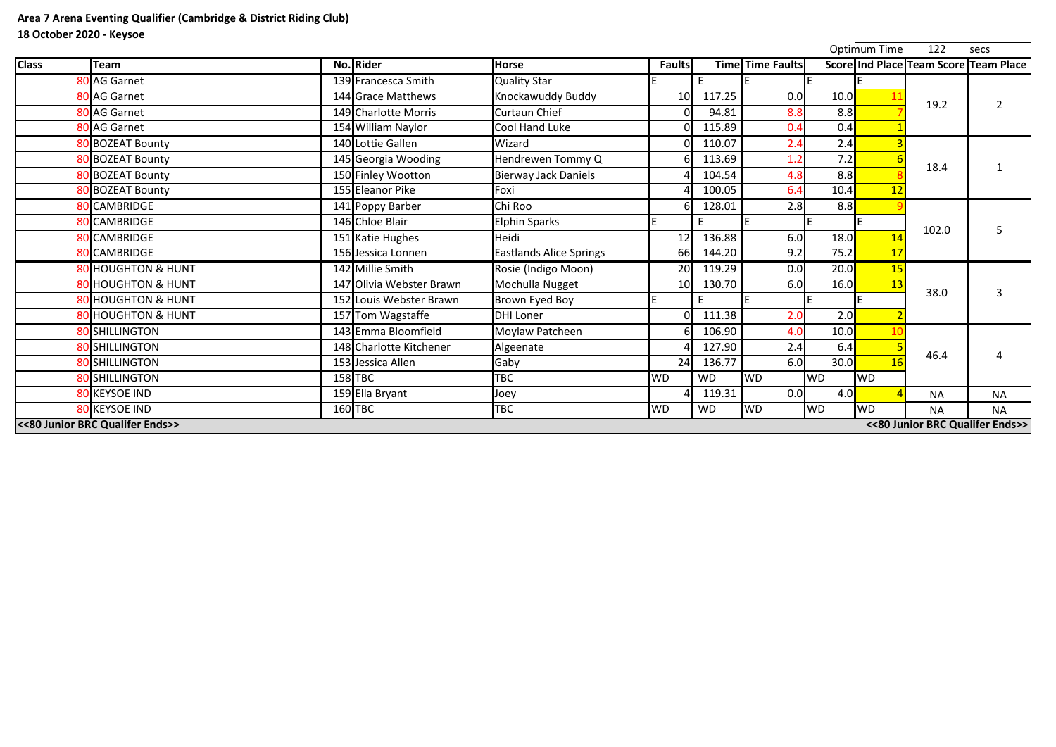|              |                                 |                          |                                |                 |           |                  |           | <b>Optimum Time</b> | 122                                   | secs           |
|--------------|---------------------------------|--------------------------|--------------------------------|-----------------|-----------|------------------|-----------|---------------------|---------------------------------------|----------------|
| <b>Class</b> | <b>Team</b>                     | No. Rider                | <b>Horse</b>                   | <b>Faults</b>   |           | Time Time Faults |           |                     | Score Ind Place Team Score Team Place |                |
|              | 80 AG Garnet                    | 139 Francesca Smith      | <b>Quality Star</b>            |                 | E.        |                  |           |                     |                                       |                |
|              | 80 AG Garnet                    | 144 Grace Matthews       | <b>Knockawuddy Buddy</b>       | 10              | 117.25    | 0.0              | 10.0      |                     | 19.2                                  | $\overline{2}$ |
|              | 80 AG Garnet                    | 149 Charlotte Morris     | <b>Curtaun Chief</b>           |                 | 94.81     | 8.8              | 8.8       |                     |                                       |                |
|              | 80 AG Garnet                    | 154 William Naylor       | Cool Hand Luke                 | Ωl              | 115.89    | 0.4              | 0.4       |                     |                                       |                |
|              | 80 BOZEAT Bounty                | 140 Lottie Gallen        | Wizard                         | nı              | 110.07    | 2.4              | 2.4       |                     |                                       |                |
|              | 80 BOZEAT Bounty                | 145 Georgia Wooding      | Hendrewen Tommy Q              |                 | 113.69    | 1.2              | 7.2       |                     | 18.4                                  |                |
|              | 80 BOZEAT Bounty                | 150 Finley Wootton       | <b>Bierway Jack Daniels</b>    |                 | 104.54    | 4.8              | 8.8       |                     |                                       |                |
|              | 80 BOZEAT Bounty                | 155 Eleanor Pike         | Foxi                           |                 | 100.05    | 6.4              | 10.4      | 12                  |                                       |                |
|              | 80 CAMBRIDGE                    | 141 Poppy Barber         | Chi Roo                        | 61              | 128.01    | 2.8              | 8.8       |                     |                                       |                |
|              | <b>80 CAMBRIDGE</b>             | 146 Chloe Blair          | <b>Elphin Sparks</b>           |                 | E.        | IE               |           |                     | 102.0                                 | 5              |
|              | 80 CAMBRIDGE                    | 151 Katie Hughes         | Heidi                          | 12              | 136.88    | 6.0              | 18.0      | 14                  |                                       |                |
|              | <b>80 CAMBRIDGE</b>             | 156 Jessica Lonnen       | <b>Eastlands Alice Springs</b> | 66              | 144.20    | 9.2              | 75.2      | 17                  |                                       |                |
|              | <b>80 HOUGHTON &amp; HUNT</b>   | 142 Millie Smith         | Rosie (Indigo Moon)            | 20 <sup>l</sup> | 119.29    | 0.0              | 20.0      | <b>15</b>           |                                       |                |
|              | <b>80 HOUGHTON &amp; HUNT</b>   | 147 Olivia Webster Brawn | Mochulla Nugget                | 10 <sup>1</sup> | 130.70    | 6.0              | 16.0      | 13                  | 38.0                                  | 3              |
|              | <b>80 HOUGHTON &amp; HUNT</b>   | 152 Louis Webster Brawn  | Brown Eyed Boy                 |                 |           |                  |           |                     |                                       |                |
|              | <b>80 HOUGHTON &amp; HUNT</b>   | 157 Tom Wagstaffe        | <b>DHI Loner</b>               | ΩI              | 111.38    | 2.0              | 2.0       |                     |                                       |                |
|              | 80 SHILLINGTON                  | 143 Emma Bloomfield      | Moylaw Patcheen                |                 | 106.90    | 4.0              | 10.0      |                     |                                       |                |
|              | <b>80 SHILLINGTON</b>           | 148 Charlotte Kitchener  | Algeenate                      |                 | 127.90    | 2.4              | 6.4       |                     |                                       |                |
|              | 80 SHILLINGTON                  | 153 Jessica Allen        | Gaby                           | 24              | 136.77    | 6.0              | 30.0      | 16                  | 46.4                                  |                |
|              | <b>80 SHILLINGTON</b>           | $158$ TBC                | TBC                            | <b>WD</b>       | <b>WD</b> | <b>WD</b>        | <b>WD</b> | <b>WD</b>           |                                       |                |
|              | <b>80 KEYSOE IND</b>            | 159 Ella Bryant          | Joey                           |                 | 119.31    | 0.0              | 4.0       |                     | <b>NA</b>                             | <b>NA</b>      |
|              | <b>80 KEYSOE IND</b>            | $160$ TBC                | <b>TBC</b>                     | <b>WD</b>       | <b>WD</b> | <b>WD</b>        | <b>WD</b> | <b>WD</b>           | <b>NA</b>                             | <b>NA</b>      |
|              | <<80 Junior BRC Qualifer Ends>> |                          |                                |                 |           |                  |           |                     | <<80 Junior BRC Qualifer Ends>>       |                |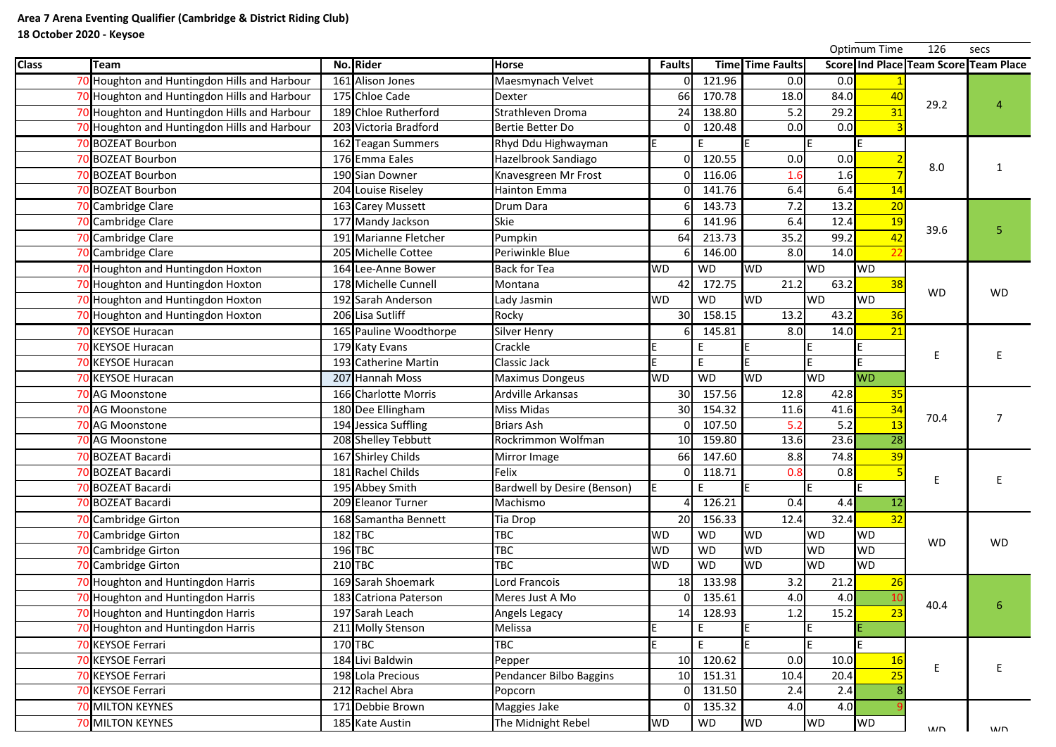|              |      |                                              |                        |                                    |                 |              |                         |           | <b>Optimum Time</b> | 126       | secs                                  |
|--------------|------|----------------------------------------------|------------------------|------------------------------------|-----------------|--------------|-------------------------|-----------|---------------------|-----------|---------------------------------------|
| <b>Class</b> | Team |                                              | No. Rider              | <b>Horse</b>                       | <b>Faults</b>   |              | <b>Time Time Faults</b> |           |                     |           | Score Ind Place Team Score Team Place |
|              |      | 70 Houghton and Huntingdon Hills and Harbour | 161 Alison Jones       | Maesmynach Velvet                  |                 | 121.96       | 0.0                     | 0.0       |                     |           |                                       |
|              |      | 70 Houghton and Huntingdon Hills and Harbour | 175 Chloe Cade         | <b>Dexter</b>                      | 66              | 170.78       | 18.0                    | 84.0      | 40                  | 29.2      |                                       |
|              |      | 70 Houghton and Huntingdon Hills and Harbour | 189 Chloe Rutherford   | <b>Strathleven Droma</b>           | 24              | 138.80       | 5.2                     | 29.2      |                     |           |                                       |
|              |      | 70 Houghton and Huntingdon Hills and Harbour | 203 Victoria Bradford  | Bertie Better Do                   |                 | 120.48       | 0.0                     | 0.0       |                     |           |                                       |
|              |      | <b>70 BOZEAT Bourbon</b>                     | 162 Teagan Summers     | Rhyd Ddu Highwayman                |                 | E            |                         |           |                     |           |                                       |
|              |      | 70 BOZEAT Bourbon                            | 176 Emma Eales         | Hazelbrook Sandiago                |                 | 120.55       | 0.0                     | 0.0       |                     | 8.0       |                                       |
|              |      | 70 BOZEAT Bourbon                            | 190 Sian Downer        | Knavesgreen Mr Frost               |                 | 116.06       | 1.6                     | 1.6       |                     |           |                                       |
|              |      | 70 BOZEAT Bourbon                            | 204 Louise Riseley     | <b>Hainton Emma</b>                |                 | 141.76       | 6.4                     | 6.4       | 14                  |           |                                       |
|              |      | 70 Cambridge Clare                           | 163 Carey Mussett      | <b>Drum Dara</b>                   |                 | 143.73       | 7.2                     | 13.2      | 20                  |           |                                       |
|              |      | 70 Cambridge Clare                           | 177 Mandy Jackson      | <b>Skie</b>                        |                 | 141.96       | 6.4                     | 12.4      | <b>19</b>           | 39.6      | 5                                     |
|              |      | 70 Cambridge Clare                           | 191 Marianne Fletcher  | Pumpkin                            | 64              | 213.73       | 35.2                    | 99.2      |                     |           |                                       |
|              |      | <b>Cambridge Clare</b>                       | 205 Michelle Cottee    | Periwinkle Blue                    |                 | 146.00<br>61 | 8.0                     | 14.0      |                     |           |                                       |
|              |      | 70 Houghton and Huntingdon Hoxton            | 164 Lee-Anne Bower     | <b>Back for Tea</b>                | <b>WD</b>       | <b>WD</b>    | <b>WD</b>               | <b>WD</b> | <b>WD</b>           |           |                                       |
|              |      | <b>Houghton and Huntingdon Hoxton</b>        | 178 Michelle Cunnell   | Montana                            | 42              | 172.75       | 21.2                    | 63.2      | 38                  |           |                                       |
|              |      | 70 Houghton and Huntingdon Hoxton            | 192 Sarah Anderson     | Lady Jasmin                        | <b>WD</b>       | <b>WD</b>    | <b>WD</b>               | <b>WD</b> | <b>WD</b>           | <b>WD</b> | <b>WD</b>                             |
|              |      | 70 Houghton and Huntingdon Hoxton            | 206 Lisa Sutliff       | Rocky                              | 30              | 158.15       | 13.2                    | 43.2      | 36                  |           |                                       |
|              |      | <b>70 KEYSOE Huracan</b>                     | 165 Pauline Woodthorpe | <b>Silver Henry</b>                |                 | 145.81<br>61 | 8.0                     | 14.0      |                     |           |                                       |
|              |      | <b>70 KEYSOE Huracan</b>                     | 179 Katy Evans         | Crackle                            |                 | E            |                         |           |                     |           |                                       |
|              |      | <b>70 KEYSOE Huracan</b>                     | 193 Catherine Martin   | Classic Jack                       |                 | E            |                         |           |                     |           |                                       |
|              |      | 70 KEYSOE Huracan                            | 207 Hannah Moss        | <b>Maximus Dongeus</b>             | <b>WD</b>       | <b>WD</b>    | <b>WD</b>               | <b>WD</b> | <b>WD</b>           |           |                                       |
|              |      | 70 AG Moonstone                              | 166 Charlotte Morris   | <b>Ardville Arkansas</b>           | 30 <sup>l</sup> | 157.56       | 12.8                    | 42.8      | 35                  |           |                                       |
|              |      | 70 AG Moonstone                              | 180 Dee Ellingham      | <b>Miss Midas</b>                  | 30 <sup>1</sup> | 154.32       | 11.6                    | 41.6      | 34                  |           |                                       |
|              |      | <b>70 AG Moonstone</b>                       | 194 Jessica Suffling   | <b>Briars Ash</b>                  |                 | 107.50       | 5.2                     | 5.2       | 13                  | 70.4      |                                       |
|              |      | 70 AG Moonstone                              | 208 Shelley Tebbutt    | Rockrimmon Wolfman                 |                 | 10 159.80    | 13.6                    | 23.6      | 28                  |           |                                       |
|              |      | <b>70 BOZEAT Bacardi</b>                     | 167 Shirley Childs     | Mirror Image                       | 66              | 147.60       | 8.8                     | 74.8      |                     |           |                                       |
|              |      | 70 BOZEAT Bacardi                            | 181 Rachel Childs      | Felix                              |                 | 118.71       | 0.8                     | 0.8       |                     |           |                                       |
|              |      | 70 BOZEAT Bacardi                            | 195 Abbey Smith        | <b>Bardwell by Desire (Benson)</b> |                 | E            |                         |           |                     |           |                                       |
|              |      | 70 BOZEAT Bacardi                            | 209 Eleanor Turner     | Machismo                           |                 | 126.21       | 0.4                     | 4.4       | 12                  |           |                                       |
|              |      | 70 Cambridge Girton                          | 168 Samantha Bennett   | Tia Drop                           | 20              | 156.33       | 12.4                    | 32.4      |                     |           |                                       |
|              |      | <b>Cambridge Girton</b>                      | $182$ TBC              | TBC                                | <b>WD</b>       | <b>WD</b>    | <b>WD</b>               | <b>WD</b> | <b>WD</b>           | <b>WD</b> | <b>WD</b>                             |
|              |      | <b>Cambridge Girton</b>                      | 196 TBC                | <b>TBC</b>                         | <b>WD</b>       | <b>WD</b>    | <b>WD</b>               | <b>WD</b> | <b>WD</b>           |           |                                       |
|              |      | 70 Cambridge Girton                          | $210$ TBC              | <b>TBC</b>                         | <b>WD</b>       | <b>WD</b>    | <b>WD</b>               | <b>WD</b> | <b>WD</b>           |           |                                       |
|              |      | 70 Houghton and Huntingdon Harris            | 169 Sarah Shoemark     | Lord Francois                      | 18              | 133.98       | 3.2                     | 21.2      |                     |           |                                       |
|              |      | 70 Houghton and Huntingdon Harris            | 183 Catriona Paterson  | Meres Just A Mo                    |                 | 135.61       | 4.0                     | 4.0       |                     |           |                                       |
|              |      | 70 Houghton and Huntingdon Harris            | 197 Sarah Leach        | Angels Legacy                      | 14              | 128.93       | 1.2                     | 15.2      |                     | 40.4      | 6                                     |
|              |      | 70 Houghton and Huntingdon Harris            | 211 Molly Stenson      | Melissa                            |                 | E            |                         |           |                     |           |                                       |
|              |      | <b>70 KEYSOE Ferrari</b>                     | 170 TBC                | <b>TBC</b>                         |                 | E            |                         |           |                     |           |                                       |
|              |      | <b>70 KEYSOE Ferrari</b>                     | 184 Livi Baldwin       | Pepper                             | 10              | 120.62       | 0.0                     | 10.0      | <b>16</b>           |           |                                       |
|              |      | <b>70 KEYSOE Ferrari</b>                     | 198 Lola Precious      | Pendancer Bilbo Baggins            | 10 <sup>1</sup> | 151.31       | 10.4                    | 20.4      |                     | Ε         |                                       |
|              |      | 70 KEYSOE Ferrari                            | 212 Rachel Abra        | Popcorn                            |                 | 131.50       | 2.4                     | 2.4       |                     |           |                                       |
|              |      | <b>70 MILTON KEYNES</b>                      | 171 Debbie Brown       | Maggies Jake                       |                 | 135.32       | 4.0                     | 4.0       |                     |           |                                       |
|              |      | <b>70 MILTON KEYNES</b>                      | 185 Kate Austin        | The Midnight Rebel                 | <b>WD</b>       | WD           | <b>WD</b>               | <b>WD</b> | <b>WD</b>           | MND       | $M\Box$                               |